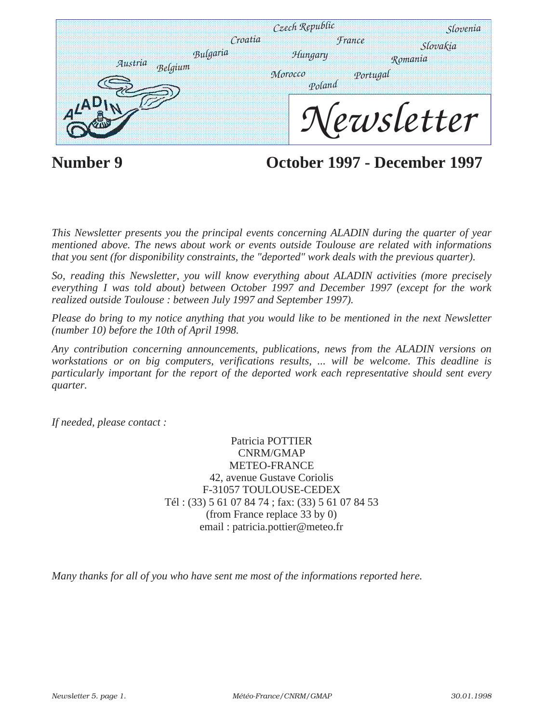|                                | Czech Republic<br>Croatia | <i><b>France</b></i> | Slovenia                   |
|--------------------------------|---------------------------|----------------------|----------------------------|
| Bulgaria<br>Austria<br>Belgium | Hungary<br>Morocco        | Portugal<br>Poland   | <b>Slovakia</b><br>Romania |
|                                |                           |                      | Vervsletter                |

**Number 9 October 1997 - December 1997**

*This Newsletter presents you the principal events concerning ALADIN during the quarter of year mentioned above. The news about work or events outside Toulouse are related with informations that you sent (for disponibility constraints, the "deported" work deals with the previous quarter).* 

*So, reading this Newsletter, you will know everything about ALADIN activities (more precisely everything I was told about) between October 1997 and December 1997 (except for the work realized outside Toulouse : between July 1997 and September 1997).*

*Please do bring to my notice anything that you would like to be mentioned in the next Newsletter (number 10) before the 10th of April 1998.*

*Any contribution concerning announcements, publications, news from the ALADIN versions on workstations or on big computers, verifications results, ... will be welcome. This deadline is particularly important for the report of the deported work each representative should sent every quarter.* 

*If needed, please contact :* 

Patricia POTTIER CNRM/GMAP METEO-FRANCE 42, avenue Gustave Coriolis F-31057 TOULOUSE-CEDEX Tél : (33) 5 61 07 84 74 ; fax: (33) 5 61 07 84 53 (from France replace 33 by 0) email : patricia.pottier@meteo.fr

*Many thanks for all of you who have sent me most of the informations reported here.*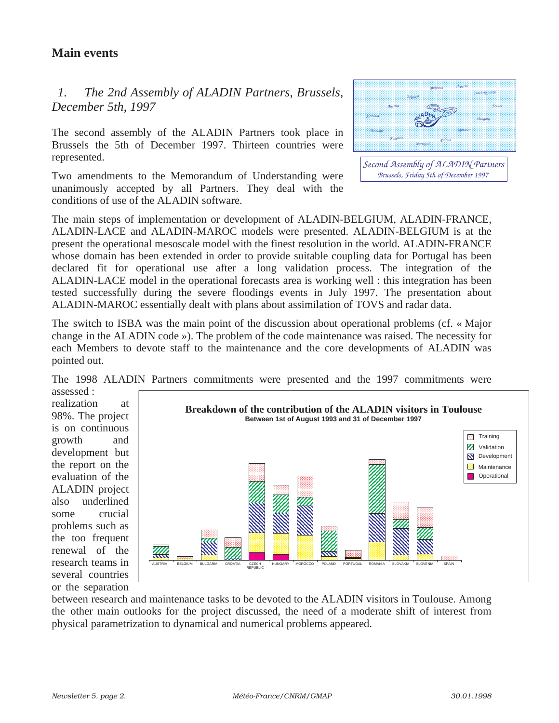# **Main events**

### *1. The 2nd Assembly of ALADIN Partners, Brussels, December 5th, 1997*

The second assembly of the ALADIN Partners took place in Brussels the 5th of December 1997. Thirteen countries were represented.

Two amendments to the Memorandum of Understanding were unanimously accepted by all Partners. They deal with the conditions of use of the ALADIN software.



*Second Assembly of ALADIN Partners Brussels, Friday 5th of December 1997*

The main steps of implementation or development of ALADIN-BELGIUM, ALADIN-FRANCE, ALADIN-LACE and ALADIN-MAROC models were presented. ALADIN-BELGIUM is at the present the operational mesoscale model with the finest resolution in the world. ALADIN-FRANCE whose domain has been extended in order to provide suitable coupling data for Portugal has been declared fit for operational use after a long validation process. The integration of the ALADIN-LACE model in the operational forecasts area is working well : this integration has been tested successfully during the severe floodings events in July 1997. The presentation about ALADIN-MAROC essentially dealt with plans about assimilation of TOVS and radar data.

The switch to ISBA was the main point of the discussion about operational problems (cf. « Major change in the ALADIN code »). The problem of the code maintenance was raised. The necessity for each Members to devote staff to the maintenance and the core developments of ALADIN was pointed out.

The 1998 ALADIN Partners commitments were presented and the 1997 commitments were

assessed : realization at 98%. The project is on continuous growth and development but the report on the evaluation of the ALADIN project also underlined some crucial problems such as the too frequent renewal of the research teams in several countries or the separation



between research and maintenance tasks to be devoted to the ALADIN visitors in Toulouse. Among the other main outlooks for the project discussed, the need of a moderate shift of interest from physical parametrization to dynamical and numerical problems appeared.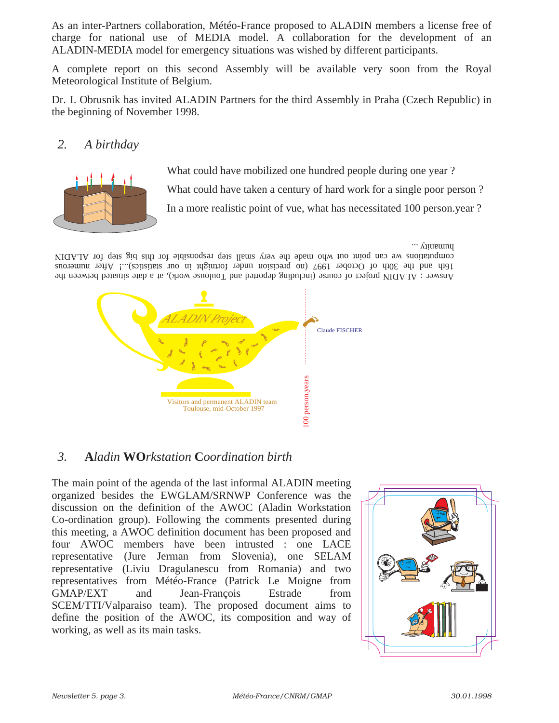As an inter-Partners collaboration, Météo-France proposed to ALADIN members a license free of charge for national use of MEDIA model. A collaboration for the development of an ALADIN-MEDIA model for emergency situations was wished by different participants.

A complete report on this second Assembly will be available very soon from the Royal Meteorological Institute of Belgium.

Dr. I. Obrusnik has invited ALADIN Partners for the third Assembly in Praha (Czech Republic) in the beginning of November 1998.

### *2. A birthday*



What could have mobilized one hundred people during one year ? What could have taken a century of hard work for a single poor person ? In a more realistic point of vue, what has necessitated 100 person.year ?

 $\cdots$   $\Lambda$ iturtuma

Answer: ALADIN project of course (including deported and Toulouse work), at a date situated between the 16th and the 30th of October 1997 (no precision under formght in our statistics)...! After numerous computation we can point out who made the very small step responsible in the pig step for ALADIN



### *3.* **A***ladin* **WO***rkstation* **C***oordination birth*

The main point of the agenda of the last informal ALADIN meeting organized besides the EWGLAM/SRNWP Conference was the discussion on the definition of the AWOC (Aladin Workstation Co-ordination group). Following the comments presented during this meeting, a AWOC definition document has been proposed and four AWOC members have been intrusted : one LACE representative (Jure Jerman from Slovenia), one SELAM representative (Liviu Dragulanescu from Romania) and two representatives from Météo-France (Patrick Le Moigne from GMAP/EXT and Jean-François Estrade from SCEM/TTI/Valparaiso team). The proposed document aims to define the position of the AWOC, its composition and way of working, as well as its main tasks.

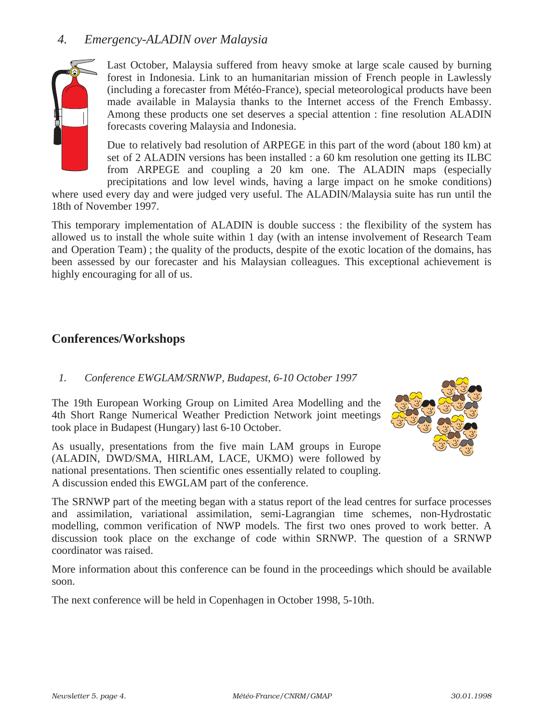### *4. Emergency-ALADIN over Malaysia*



Last October, Malaysia suffered from heavy smoke at large scale caused by burning forest in Indonesia. Link to an humanitarian mission of French people in Lawlessly (including a forecaster from Météo-France), special meteorological products have been made available in Malaysia thanks to the Internet access of the French Embassy. Among these products one set deserves a special attention : fine resolution ALADIN forecasts covering Malaysia and Indonesia.

Due to relatively bad resolution of ARPEGE in this part of the word (about 180 km) at set of 2 ALADIN versions has been installed : a 60 km resolution one getting its ILBC from ARPEGE and coupling a 20 km one. The ALADIN maps (especially precipitations and low level winds, having a large impact on he smoke conditions)

where used every day and were judged very useful. The ALADIN/Malaysia suite has run until the 18th of November 1997.

This temporary implementation of ALADIN is double success : the flexibility of the system has allowed us to install the whole suite within 1 day (with an intense involvement of Research Team and Operation Team) ; the quality of the products, despite of the exotic location of the domains, has been assessed by our forecaster and his Malaysian colleagues. This exceptional achievement is highly encouraging for all of us.

### **Conferences/Workshops**

#### *1. Conference EWGLAM/SRNWP, Budapest, 6-10 October 1997*

The 19th European Working Group on Limited Area Modelling and the 4th Short Range Numerical Weather Prediction Network joint meetings took place in Budapest (Hungary) last 6-10 October.

As usually, presentations from the five main LAM groups in Europe (ALADIN, DWD/SMA, HIRLAM, LACE, UKMO) were followed by national presentations. Then scientific ones essentially related to coupling. A discussion ended this EWGLAM part of the conference.



The SRNWP part of the meeting began with a status report of the lead centres for surface processes and assimilation, variational assimilation, semi-Lagrangian time schemes, non-Hydrostatic modelling, common verification of NWP models. The first two ones proved to work better. A discussion took place on the exchange of code within SRNWP. The question of a SRNWP coordinator was raised.

More information about this conference can be found in the proceedings which should be available soon.

The next conference will be held in Copenhagen in October 1998, 5-10th.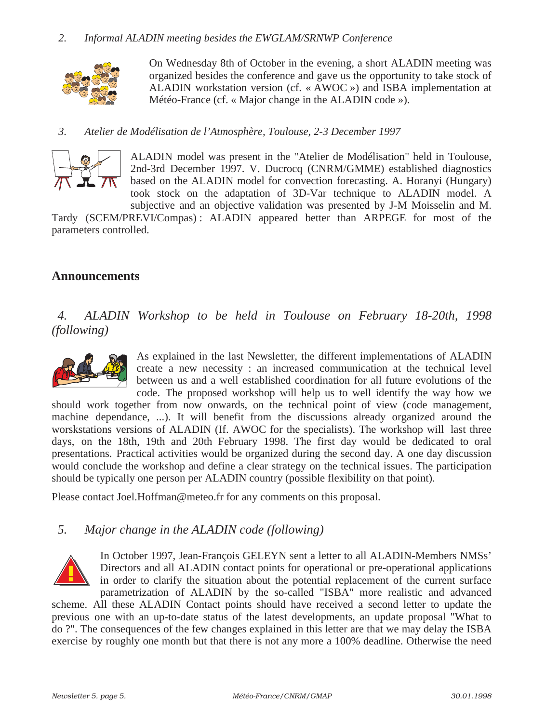

On Wednesday 8th of October in the evening, a short ALADIN meeting was organized besides the conference and gave us the opportunity to take stock of ALADIN workstation version (cf. « AWOC ») and ISBA implementation at Météo-France (cf. « Major change in the ALADIN code »).

#### *3. Atelier de Modélisation de l'Atmosphère, Toulouse, 2-3 December 1997*



ALADIN model was present in the "Atelier de Modélisation" held in Toulouse, 2nd-3rd December 1997. V. Ducrocq (CNRM/GMME) established diagnostics based on the ALADIN model for convection forecasting. A. Horanyi (Hungary) took stock on the adaptation of 3D-Var technique to ALADIN model. A subjective and an objective validation was presented by J-M Moisselin and M.

Tardy (SCEM/PREVI/Compas) : ALADIN appeared better than ARPEGE for most of the parameters controlled.

#### **Announcements**

*4. ALADIN Workshop to be held in Toulouse on February 18-20th, 1998 (following)*



As explained in the last Newsletter, the different implementations of ALADIN create a new necessity : an increased communication at the technical level between us and a well established coordination for all future evolutions of the code. The proposed workshop will help us to well identify the way how we

should work together from now onwards, on the technical point of view (code management, machine dependance, ...). It will benefit from the discussions already organized around the worskstations versions of ALADIN (If. AWOC for the specialists). The workshop will last three days, on the 18th, 19th and 20th February 1998. The first day would be dedicated to oral presentations. Practical activities would be organized during the second day. A one day discussion would conclude the workshop and define a clear strategy on the technical issues. The participation should be typically one person per ALADIN country (possible flexibility on that point).

Please contact Joel.Hoffman@meteo.fr for any comments on this proposal.

### *5. Major change in the ALADIN code (following)*



In October 1997, Jean-François GELEYN sent a letter to all ALADIN-Members NMSs' Directors and all ALADIN contact points for operational or pre-operational applications in order to clarify the situation about the potential replacement of the current surface parametrization of ALADIN by the so-called "ISBA" more realistic and advanced

scheme. All these ALADIN Contact points should have received a second letter to update the previous one with an up-to-date status of the latest developments, an update proposal "What to do ?". The consequences of the few changes explained in this letter are that we may delay the ISBA exercise by roughly one month but that there is not any more a 100% deadline. Otherwise the need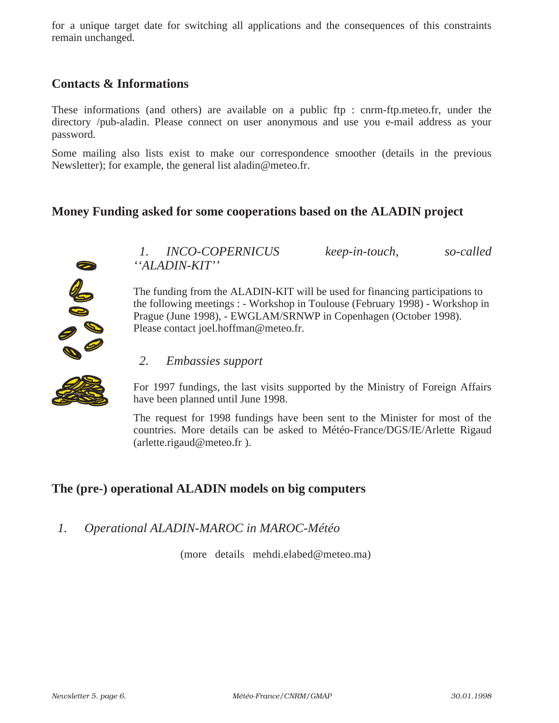for a unique target date for switching all applications and the consequences of this constraints remain unchanged.

# **Contacts & Informations**

These informations (and others) are available on a public ftp : cnrm-ftp.meteo.fr, under the directory /pub-aladin. Please connect on user anonymous and use you e-mail address as your password.

Some mailing also lists exist to make our correspondence smoother (details in the previous Newsletter); for example, the general list aladin@meteo.fr.

#### **Money Funding asked for some cooperations based on the ALADIN project**



*1. INCO-COPERNICUS keep-in-touch, so-called ''ALADIN-KIT''*

The funding from the ALADIN-KIT will be used for financing participations to the following meetings : - Workshop in Toulouse (February 1998) - Workshop in Prague (June 1998), - EWGLAM/SRNWP in Copenhagen (October 1998). Please contact joel.hoffman@meteo.fr.

#### *2. Embassies support*

For 1997 fundings, the last visits supported by the Ministry of Foreign Affairs have been planned until June 1998.

The request for 1998 fundings have been sent to the Minister for most of the countries. More details can be asked to Météo-France/DGS/IE/Arlette Rigaud (arlette.rigaud@meteo.fr ).

# **The (pre-) operational ALADIN models on big computers**

### *1. Operational ALADIN-MAROC in MAROC-Météo*

(more details mehdi.elabed@meteo.ma)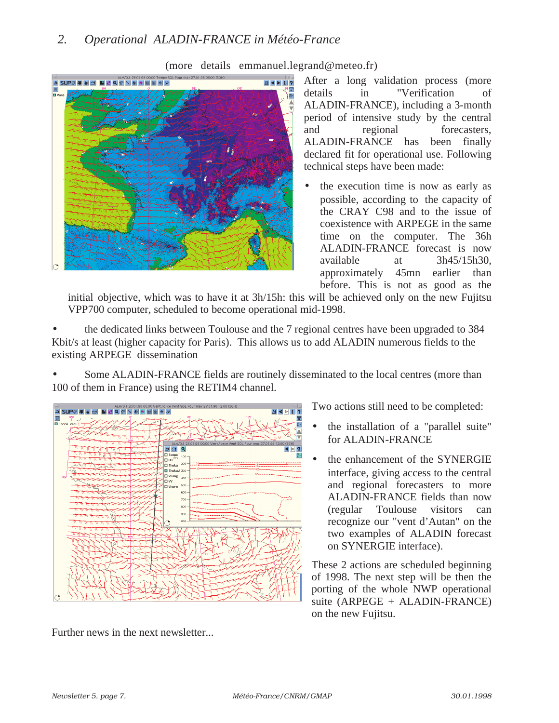### *2. Operational ALADIN-FRANCE in Météo-France*



(more details emmanuel.legrand@meteo.fr)

After a long validation process (more details in "Verification of ALADIN-FRANCE), including a 3-month period of intensive study by the central and regional forecasters, ALADIN-FRANCE has been finally declared fit for operational use. Following technical steps have been made:

the execution time is now as early as possible, according to the capacity of the CRAY C98 and to the issue of coexistence with ARPEGE in the same time on the computer. The 36h ALADIN-FRANCE forecast is now available at 3h45/15h30, approximately 45mn earlier than before. This is not as good as the

initial objective, which was to have it at 3h/15h: this will be achieved only on the new Fujitsu VPP700 computer, scheduled to become operational mid-1998.

• the dedicated links between Toulouse and the 7 regional centres have been upgraded to 384 Kbit/s at least (higher capacity for Paris). This allows us to add ALADIN numerous fields to the existing ARPEGE dissemination

Some ALADIN-FRANCE fields are routinely disseminated to the local centres (more than 100 of them in France) using the RETIM4 channel.



Further news in the next newsletter...

Two actions still need to be completed:

- the installation of a "parallel suite" for ALADIN-FRANCE
- the enhancement of the SYNERGIE interface, giving access to the central and regional forecasters to more ALADIN-FRANCE fields than now (regular Toulouse visitors can recognize our "vent d'Autan" on the two examples of ALADIN forecast on SYNERGIE interface).

These 2 actions are scheduled beginning of 1998. The next step will be then the porting of the whole NWP operational suite (ARPEGE + ALADIN-FRANCE) on the new Fujitsu.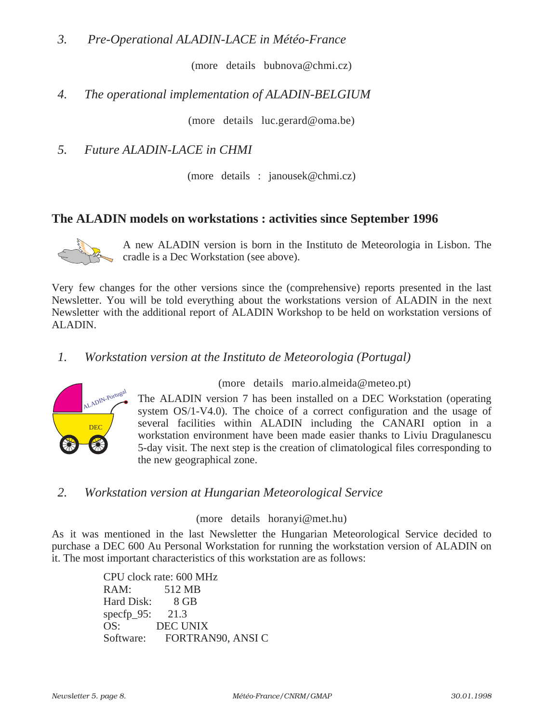*3. Pre-Operational ALADIN-LACE in Météo-France*

(more details bubnova@chmi.cz)

### *4. The operational implementation of ALADIN-BELGIUM*

(more details luc.gerard@oma.be)

*5. Future ALADIN-LACE in CHMI*

(more details : janousek@chmi.cz)

#### **The ALADIN models on workstations : activities since September 1996**



A new ALADIN version is born in the Instituto de Meteorologia in Lisbon. The cradle is a Dec Workstation (see above).

Very few changes for the other versions since the (comprehensive) reports presented in the last Newsletter. You will be told everything about the workstations version of ALADIN in the next Newsletter with the additional report of ALADIN Workshop to be held on workstation versions of ALADIN.

#### *1. Workstation version at the Instituto de Meteorologia (Portugal)*



(more details mario.almeida@meteo.pt)

The ALADIN version 7 has been installed on a DEC Workstation (operating system OS/1-V4.0). The choice of a correct configuration and the usage of several facilities within ALADIN including the CANARI option in a workstation environment have been made easier thanks to Liviu Dragulanescu 5-day visit. The next step is the creation of climatological files corresponding to the new geographical zone.

#### *2. Workstation version at Hungarian Meteorological Service*

#### (more details horanyi@met.hu)

As it was mentioned in the last Newsletter the Hungarian Meteorological Service decided to purchase a DEC 600 Au Personal Workstation for running the workstation version of ALADIN on it. The most important characteristics of this workstation are as follows:

> CPU clock rate: 600 MHz RAM: 512 MB Hard Disk: 8 GB specfp\_95: 21.3 OS: DEC UNIX Software: FORTRAN90, ANSI C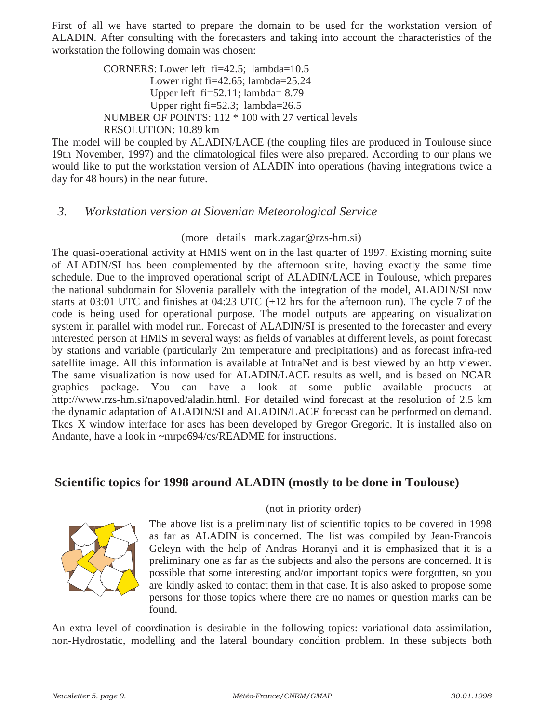First of all we have started to prepare the domain to be used for the workstation version of ALADIN. After consulting with the forecasters and taking into account the characteristics of the workstation the following domain was chosen:

> CORNERS: Lower left fi=42.5; lambda=10.5 Lower right fi=42.65; lambda=25.24 Upper left  $fi=52.11$ ; lambda= 8.79 Upper right fi=52.3; lambda=26.5 NUMBER OF POINTS: 112 \* 100 with 27 vertical levels RESOLUTION: 10.89 km

The model will be coupled by ALADIN/LACE (the coupling files are produced in Toulouse since 19th November, 1997) and the climatological files were also prepared. According to our plans we would like to put the workstation version of ALADIN into operations (having integrations twice a day for 48 hours) in the near future.

### *3. Workstation version at Slovenian Meteorological Service*

#### (more details mark.zagar@rzs-hm.si)

The quasi-operational activity at HMIS went on in the last quarter of 1997. Existing morning suite of ALADIN/SI has been complemented by the afternoon suite, having exactly the same time schedule. Due to the improved operational script of ALADIN/LACE in Toulouse, which prepares the national subdomain for Slovenia parallely with the integration of the model, ALADIN/SI now starts at 03:01 UTC and finishes at 04:23 UTC (+12 hrs for the afternoon run). The cycle 7 of the code is being used for operational purpose. The model outputs are appearing on visualization system in parallel with model run. Forecast of ALADIN/SI is presented to the forecaster and every interested person at HMIS in several ways: as fields of variables at different levels, as point forecast by stations and variable (particularly 2m temperature and precipitations) and as forecast infra-red satellite image. All this information is available at IntraNet and is best viewed by an http viewer. The same visualization is now used for ALADIN/LACE results as well, and is based on NCAR graphics package. You can have a look at some public available products at http://www.rzs-hm.si/napoved/aladin.html. For detailed wind forecast at the resolution of 2.5 km the dynamic adaptation of ALADIN/SI and ALADIN/LACE forecast can be performed on demand. Tkcs X window interface for ascs has been developed by Gregor Gregoric. It is installed also on Andante, have a look in ~mrpe694/cs/README for instructions.

# **Scientific topics for 1998 around ALADIN (mostly to be done in Toulouse)**



#### (not in priority order)

The above list is a preliminary list of scientific topics to be covered in 1998 as far as ALADIN is concerned. The list was compiled by Jean-Francois Geleyn with the help of Andras Horanyi and it is emphasized that it is a preliminary one as far as the subjects and also the persons are concerned. It is possible that some interesting and/or important topics were forgotten, so you are kindly asked to contact them in that case. It is also asked to propose some persons for those topics where there are no names or question marks can be found.

An extra level of coordination is desirable in the following topics: variational data assimilation, non-Hydrostatic, modelling and the lateral boundary condition problem. In these subjects both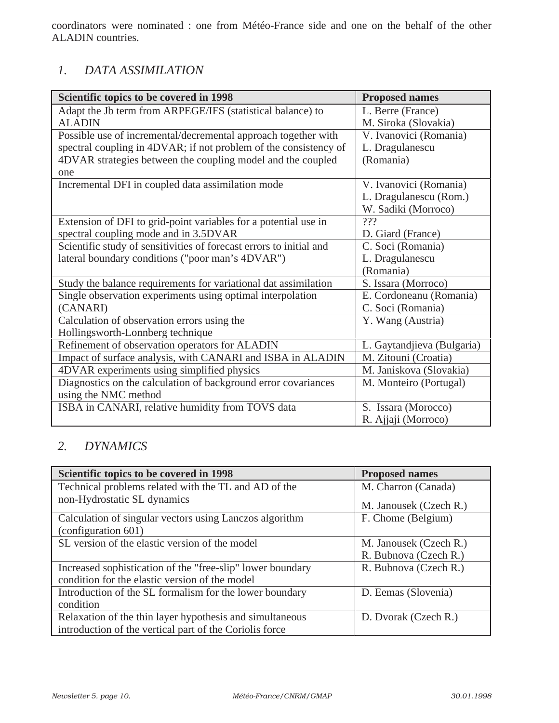coordinators were nominated : one from Météo-France side and one on the behalf of the other ALADIN countries.

# *1. DATA ASSIMILATION*

| Scientific topics to be covered in 1998                             | <b>Proposed names</b>      |
|---------------------------------------------------------------------|----------------------------|
| Adapt the Jb term from ARPEGE/IFS (statistical balance) to          | L. Berre (France)          |
| <b>ALADIN</b>                                                       | M. Siroka (Slovakia)       |
| Possible use of incremental/decremental approach together with      | V. Ivanovici (Romania)     |
| spectral coupling in 4DVAR; if not problem of the consistency of    | L. Dragulanescu            |
| 4DVAR strategies between the coupling model and the coupled         | (Romania)                  |
| one                                                                 |                            |
| Incremental DFI in coupled data assimilation mode                   | V. Ivanovici (Romania)     |
|                                                                     | L. Dragulanescu (Rom.)     |
|                                                                     | W. Sadiki (Morroco)        |
| Extension of DFI to grid-point variables for a potential use in     | 222                        |
| spectral coupling mode and in 3.5DVAR                               | D. Giard (France)          |
| Scientific study of sensitivities of forecast errors to initial and | C. Soci (Romania)          |
| lateral boundary conditions ("poor man's 4DVAR")                    | L. Dragulanescu            |
|                                                                     | (Romania)                  |
| Study the balance requirements for variational dat assimilation     | S. Issara (Morroco)        |
| Single observation experiments using optimal interpolation          | E. Cordoneanu (Romania)    |
| (CANARI)                                                            | C. Soci (Romania)          |
| Calculation of observation errors using the                         | Y. Wang (Austria)          |
| Hollingsworth-Lonnberg technique                                    |                            |
| Refinement of observation operators for ALADIN                      | L. Gaytandjieva (Bulgaria) |
| Impact of surface analysis, with CANARI and ISBA in ALADIN          | M. Zitouni (Croatia)       |
| 4DVAR experiments using simplified physics                          | M. Janiskova (Slovakia)    |
| Diagnostics on the calculation of background error covariances      | M. Monteiro (Portugal)     |
| using the NMC method                                                |                            |
| ISBA in CANARI, relative humidity from TOVS data                    | S. Issara (Morocco)        |
|                                                                     | R. Ajjaji (Morroco)        |

# *2. DYNAMICS*

| Scientific topics to be covered in 1998                    | <b>Proposed names</b>  |
|------------------------------------------------------------|------------------------|
| Technical problems related with the TL and AD of the       | M. Charron (Canada)    |
| non-Hydrostatic SL dynamics                                | M. Janousek (Czech R.) |
| Calculation of singular vectors using Lanczos algorithm    | F. Chome (Belgium)     |
| $\left(\text{configuration } 601\right)$                   |                        |
| SL version of the elastic version of the model             | M. Janousek (Czech R.) |
|                                                            | R. Bubnova (Czech R.)  |
| Increased sophistication of the "free-slip" lower boundary | R. Bubnova (Czech R.)  |
| condition for the elastic version of the model             |                        |
| Introduction of the SL formalism for the lower boundary    | D. Eemas (Slovenia)    |
| condition                                                  |                        |
| Relaxation of the thin layer hypothesis and simultaneous   | D. Dvorak (Czech R.)   |
| introduction of the vertical part of the Coriolis force    |                        |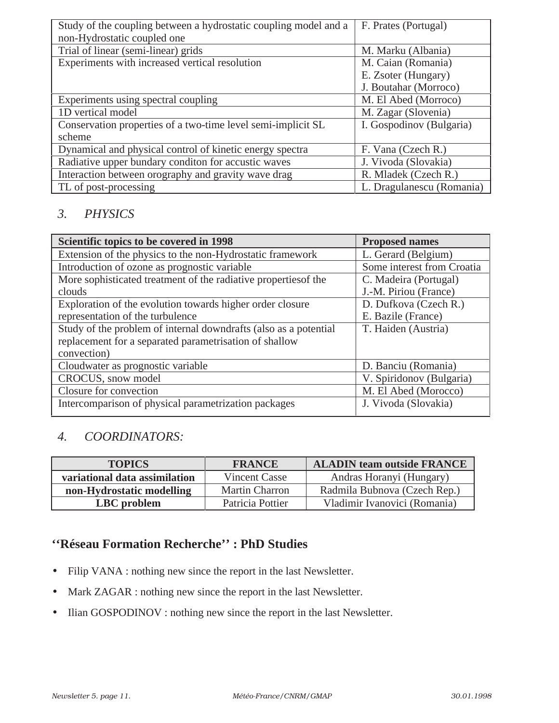| Study of the coupling between a hydrostatic coupling model and a | F. Prates (Portugal)      |
|------------------------------------------------------------------|---------------------------|
| non-Hydrostatic coupled one                                      |                           |
| Trial of linear (semi-linear) grids                              | M. Marku (Albania)        |
| Experiments with increased vertical resolution                   | M. Caian (Romania)        |
|                                                                  | E. Zsoter (Hungary)       |
|                                                                  | J. Boutahar (Morroco)     |
| Experiments using spectral coupling                              | M. El Abed (Morroco)      |
| 1D vertical model                                                | M. Zagar (Slovenia)       |
| Conservation properties of a two-time level semi-implicit SL     | I. Gospodinov (Bulgaria)  |
| scheme                                                           |                           |
| Dynamical and physical control of kinetic energy spectra         | F. Vana (Czech R.)        |
| Radiative upper bundary conditon for accustic waves              | J. Vivoda (Slovakia)      |
| Interaction between orography and gravity wave drag              | R. Mladek (Czech R.)      |
| TL of post-processing                                            | L. Dragulanescu (Romania) |

# *3. PHYSICS*

| Scientific topics to be covered in 1998                          | <b>Proposed names</b>      |
|------------------------------------------------------------------|----------------------------|
| Extension of the physics to the non-Hydrostatic framework        | L. Gerard (Belgium)        |
| Introduction of ozone as prognostic variable                     | Some interest from Croatia |
| More sophisticated treatment of the radiative properties of the  | C. Madeira (Portugal)      |
| clouds                                                           | J.-M. Piriou (France)      |
| Exploration of the evolution towards higher order closure        | D. Dufkova (Czech R.)      |
| representation of the turbulence                                 | E. Bazile (France)         |
| Study of the problem of internal downdrafts (also as a potential | T. Haiden (Austria)        |
| replacement for a separated parametrisation of shallow           |                            |
| convection)                                                      |                            |
| Cloudwater as prognostic variable                                | D. Banciu (Romania)        |
| CROCUS, snow model                                               | V. Spiridonov (Bulgaria)   |
| Closure for convection                                           | M. El Abed (Morocco)       |
| Intercomparison of physical parametrization packages             | J. Vivoda (Slovakia)       |

# *4. COORDINATORS:*

| <b>TOPICS</b>                 | <b>FRANCE</b>         | <b>ALADIN team outside FRANCE</b> |  |
|-------------------------------|-----------------------|-----------------------------------|--|
| variational data assimilation | <b>Vincent Casse</b>  | Andras Horanyi (Hungary)          |  |
| non-Hydrostatic modelling     | <b>Martin Charron</b> | Radmila Bubnova (Czech Rep.)      |  |
| LBC problem                   | Patricia Pottier      | Vladimir Ivanovici (Romania)      |  |

# **''Réseau Formation Recherche'' : PhD Studies**

- Filip VANA : nothing new since the report in the last Newsletter.
- Mark ZAGAR : nothing new since the report in the last Newsletter.
- Ilian GOSPODINOV : nothing new since the report in the last Newsletter.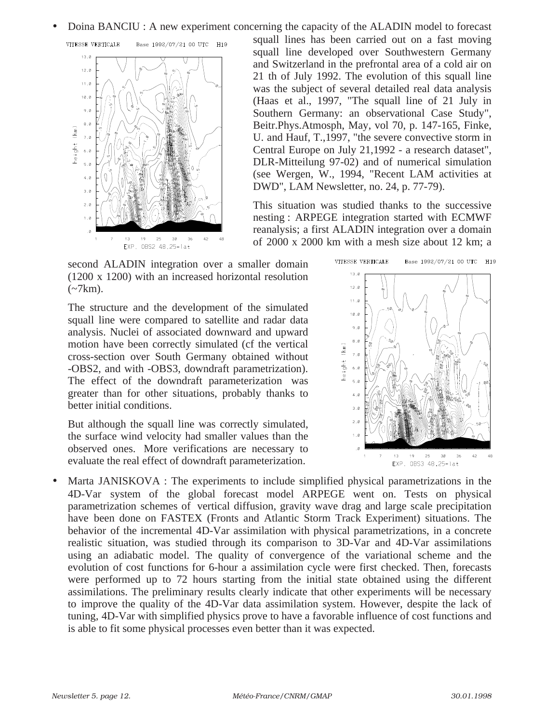• Doina BANCIU : A new experiment concerning the capacity of the ALADIN model to forecast





squall lines has been carried out on a fast moving squall line developed over Southwestern Germany and Switzerland in the prefrontal area of a cold air on 21 th of July 1992. The evolution of this squall line was the subject of several detailed real data analysis (Haas et al., 1997, "The squall line of 21 July in Southern Germany: an observational Case Study", Beitr.Phys.Atmosph, May, vol 70, p. 147-165, Finke, U. and Hauf, T.,1997, "the severe convective storm in Central Europe on July 21,1992 - a research dataset", DLR-Mitteilung 97-02) and of numerical simulation (see Wergen, W., 1994, "Recent LAM activities at DWD", LAM Newsletter, no. 24, p. 77-79).

This situation was studied thanks to the successive nesting : ARPEGE integration started with ECMWF reanalysis; a first ALADIN integration over a domain of 2000 x 2000 km with a mesh size about 12 km; a

second ALADIN integration over a smaller domain (1200 x 1200) with an increased horizontal resolution  $\left(\sim 7 \text{km}\right)$ .

The structure and the development of the simulated squall line were compared to satellite and radar data analysis. Nuclei of associated downward and upward motion have been correctly simulated (cf the vertical cross-section over South Germany obtained without -OBS2, and with -OBS3, downdraft parametrization). The effect of the downdraft parameterization was greater than for other situations, probably thanks to better initial conditions.

But although the squall line was correctly simulated, the surface wind velocity had smaller values than the observed ones. More verifications are necessary to evaluate the real effect of downdraft parameterization.



Marta JANISKOVA : The experiments to include simplified physical parametrizations in the 4D-Var system of the global forecast model ARPEGE went on. Tests on physical parametrization schemes of vertical diffusion, gravity wave drag and large scale precipitation have been done on FASTEX (Fronts and Atlantic Storm Track Experiment) situations. The behavior of the incremental 4D-Var assimilation with physical parametrizations, in a concrete realistic situation, was studied through its comparison to 3D-Var and 4D-Var assimilations using an adiabatic model. The quality of convergence of the variational scheme and the evolution of cost functions for 6-hour a assimilation cycle were first checked. Then, forecasts were performed up to 72 hours starting from the initial state obtained using the different assimilations. The preliminary results clearly indicate that other experiments will be necessary to improve the quality of the 4D-Var data assimilation system. However, despite the lack of tuning, 4D-Var with simplified physics prove to have a favorable influence of cost functions and is able to fit some physical processes even better than it was expected.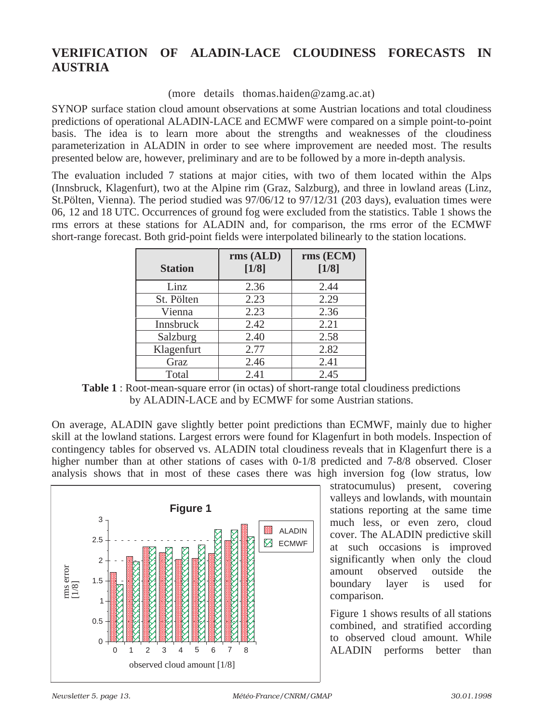# **VERIFICATION OF ALADIN-LACE CLOUDINESS FORECASTS IN AUSTRIA**

(more details thomas.haiden@zamg.ac.at)

SYNOP surface station cloud amount observations at some Austrian locations and total cloudiness predictions of operational ALADIN-LACE and ECMWF were compared on a simple point-to-point basis. The idea is to learn more about the strengths and weaknesses of the cloudiness parameterization in ALADIN in order to see where improvement are needed most. The results presented below are, however, preliminary and are to be followed by a more in-depth analysis.

The evaluation included 7 stations at major cities, with two of them located within the Alps (Innsbruck, Klagenfurt), two at the Alpine rim (Graz, Salzburg), and three in lowland areas (Linz, St.Pölten, Vienna). The period studied was 97/06/12 to 97/12/31 (203 days), evaluation times were 06, 12 and 18 UTC. Occurrences of ground fog were excluded from the statistics. Table 1 shows the rms errors at these stations for ALADIN and, for comparison, the rms error of the ECMWF short-range forecast. Both grid-point fields were interpolated bilinearly to the station locations.

| <b>Station</b> | rms (ALD)<br>$[1/8]$ | rms (ECM)<br>$[1/8]$ |
|----------------|----------------------|----------------------|
| Linz           | 2.36                 | 2.44                 |
| St. Pölten     | 2.23                 | 2.29                 |
| Vienna         | 2.23                 | 2.36                 |
| Innsbruck      | 2.42                 | 2.21                 |
| Salzburg       | 2.40                 | 2.58                 |
| Klagenfurt     | 2.77                 | 2.82                 |
| Graz           | 2.46                 | 2.41                 |
| Total          | 2.41                 | 2.45                 |

**Table 1** : Root-mean-square error (in octas) of short-range total cloudiness predictions by ALADIN-LACE and by ECMWF for some Austrian stations.

On average, ALADIN gave slightly better point predictions than ECMWF, mainly due to higher skill at the lowland stations. Largest errors were found for Klagenfurt in both models. Inspection of contingency tables for observed vs. ALADIN total cloudiness reveals that in Klagenfurt there is a higher number than at other stations of cases with 0-1/8 predicted and 7-8/8 observed. Closer analysis shows that in most of these cases there was high inversion fog (low stratus, low



stratocumulus) present, covering valleys and lowlands, with mountain stations reporting at the same time much less, or even zero, cloud cover. The ALADIN predictive skill at such occasions is improved significantly when only the cloud amount observed outside the boundary layer is used for comparison.

Figure 1 shows results of all stations combined, and stratified according to observed cloud amount. While ALADIN performs better than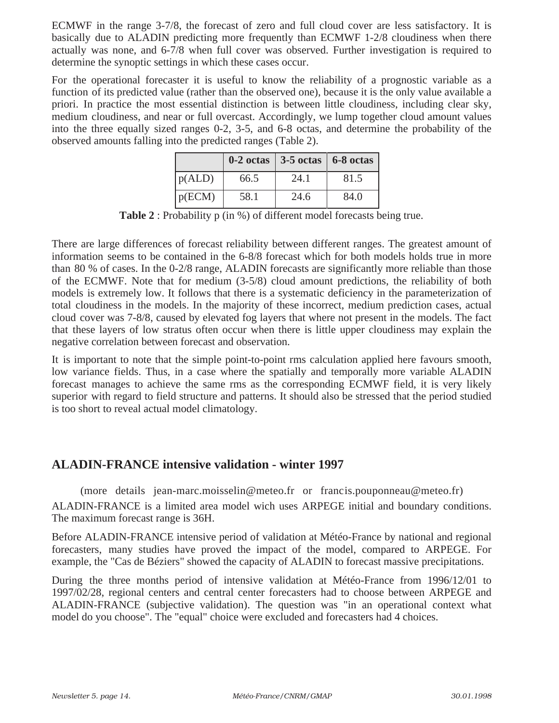ECMWF in the range 3-7/8, the forecast of zero and full cloud cover are less satisfactory. It is basically due to ALADIN predicting more frequently than ECMWF 1-2/8 cloudiness when there actually was none, and 6-7/8 when full cover was observed. Further investigation is required to determine the synoptic settings in which these cases occur.

For the operational forecaster it is useful to know the reliability of a prognostic variable as a function of its predicted value (rather than the observed one), because it is the only value available a priori. In practice the most essential distinction is between little cloudiness, including clear sky, medium cloudiness, and near or full overcast. Accordingly, we lump together cloud amount values into the three equally sized ranges 0-2, 3-5, and 6-8 octas, and determine the probability of the observed amounts falling into the predicted ranges (Table 2).

|        |      | $0-2 \text{ octas}$ 3-5 octas 6-8 octas |      |
|--------|------|-----------------------------------------|------|
| p(ALD) | 66.5 | 24.1                                    | 81.5 |
| p(ECM) | 58.1 | 24.6                                    | 84.0 |

Table 2 : Probability p (in %) of different model forecasts being true.

There are large differences of forecast reliability between different ranges. The greatest amount of information seems to be contained in the 6-8/8 forecast which for both models holds true in more than 80 % of cases. In the 0-2/8 range, ALADIN forecasts are significantly more reliable than those of the ECMWF. Note that for medium (3-5/8) cloud amount predictions, the reliability of both models is extremely low. It follows that there is a systematic deficiency in the parameterization of total cloudiness in the models. In the majority of these incorrect, medium prediction cases, actual cloud cover was 7-8/8, caused by elevated fog layers that where not present in the models. The fact that these layers of low stratus often occur when there is little upper cloudiness may explain the negative correlation between forecast and observation.

It is important to note that the simple point-to-point rms calculation applied here favours smooth, low variance fields. Thus, in a case where the spatially and temporally more variable ALADIN forecast manages to achieve the same rms as the corresponding ECMWF field, it is very likely superior with regard to field structure and patterns. It should also be stressed that the period studied is too short to reveal actual model climatology.

# **ALADIN-FRANCE intensive validation - winter 1997**

(more details jean-marc.moisselin@meteo.fr or francis.pouponneau@meteo.fr) ALADIN-FRANCE is a limited area model wich uses ARPEGE initial and boundary conditions. The maximum forecast range is 36H.

Before ALADIN-FRANCE intensive period of validation at Météo-France by national and regional forecasters, many studies have proved the impact of the model, compared to ARPEGE. For example, the "Cas de Béziers" showed the capacity of ALADIN to forecast massive precipitations.

During the three months period of intensive validation at Météo-France from 1996/12/01 to 1997/02/28, regional centers and central center forecasters had to choose between ARPEGE and ALADIN-FRANCE (subjective validation). The question was "in an operational context what model do you choose". The "equal" choice were excluded and forecasters had 4 choices.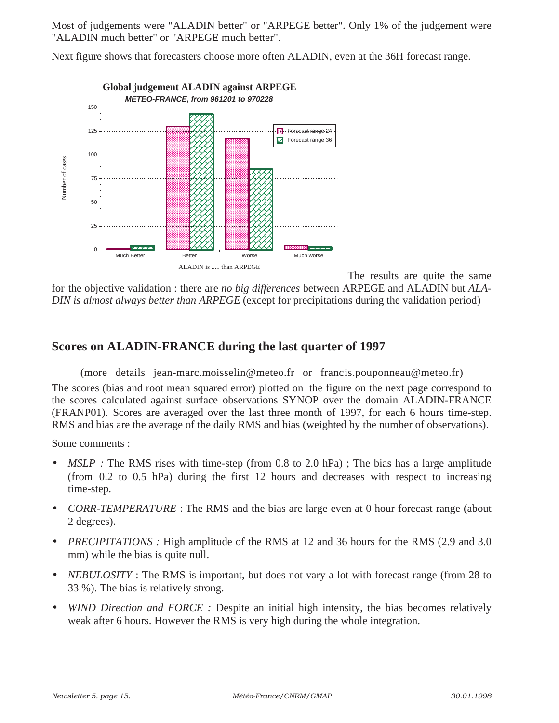Most of judgements were "ALADIN better" or "ARPEGE better". Only 1% of the judgement were "ALADIN much better" or "ARPEGE much better".

Next figure shows that forecasters choose more often ALADIN, even at the 36H forecast range.



The results are quite the same

for the objective validation : there are *no big differences* between ARPEGE and ALADIN but *ALA-DIN is almost always better than ARPEGE* (except for precipitations during the validation period)

### **Scores on ALADIN-FRANCE during the last quarter of 1997**

(more details jean-marc.moisselin@meteo.fr or francis.pouponneau@meteo.fr) The scores (bias and root mean squared error) plotted on the figure on the next page correspond to the scores calculated against surface observations SYNOP over the domain ALADIN-FRANCE (FRANP01). Scores are averaged over the last three month of 1997, for each 6 hours time-step. RMS and bias are the average of the daily RMS and bias (weighted by the number of observations).

Some comments :

- *MSLP* : The RMS rises with time-step (from 0.8 to 2.0 hPa); The bias has a large amplitude (from 0.2 to 0.5 hPa) during the first 12 hours and decreases with respect to increasing time-step.
- *CORR-TEMPERATURE*: The RMS and the bias are large even at 0 hour forecast range (about 2 degrees).
- *PRECIPITATIONS :* High amplitude of the RMS at 12 and 36 hours for the RMS (2.9 and 3.0 mm) while the bias is quite null.
- *NEBULOSITY*: The RMS is important, but does not vary a lot with forecast range (from 28 to 33 %). The bias is relatively strong.
- *WIND Direction and FORCE :* Despite an initial high intensity, the bias becomes relatively weak after 6 hours. However the RMS is very high during the whole integration.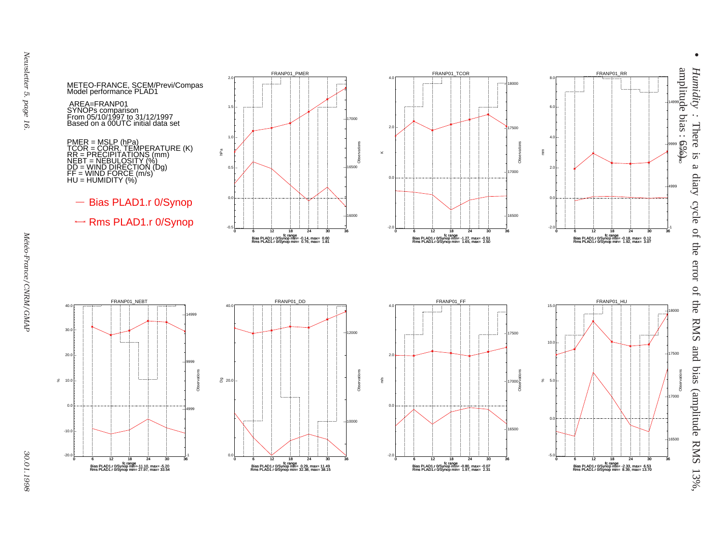*Humidity :* There is a diary cycle of the error of the RMS and bias (amplitude RMS 13%,  $S_{\overline{L}}$  $\boldsymbol{\omega}$ diary cycle of the error of the RMS and bias (amplitude RMS 13%,

•



mm





-0.5

 $\overline{0}$ .

 $0.5$ 

hPa

1.0

1.5

2.0



















-1 $\overline{\mathbf{a}}$ 

4999

9999

Observations

14999

METEO-FRANCE, SCEM/Previ/Compas Model performance PLAD1

AREA=FRANP01 SYNOPs comparison From 05/10/1997 to 31/12/1997 Based on a 00UTC initial data set

PMER = MSLP (hPa)<br>TCOR = CORR. TEMPERATURE (K)<br>RR = PRECIPITATIONS (mm)<br>NEBT = NEBULOSITY (%)<br>DD = WIND DIRECTION (Dg)<br>FF = WIND FORCE (m/s)<br>HU = HUMIDITY (%)

- Bias PLAD1.r 0/Synop

\*<sup>\*</sup> Rms PLAD1.r 0/Synop

FRANP01\_NEBT



0.0

20.0

30.0

 $40.0$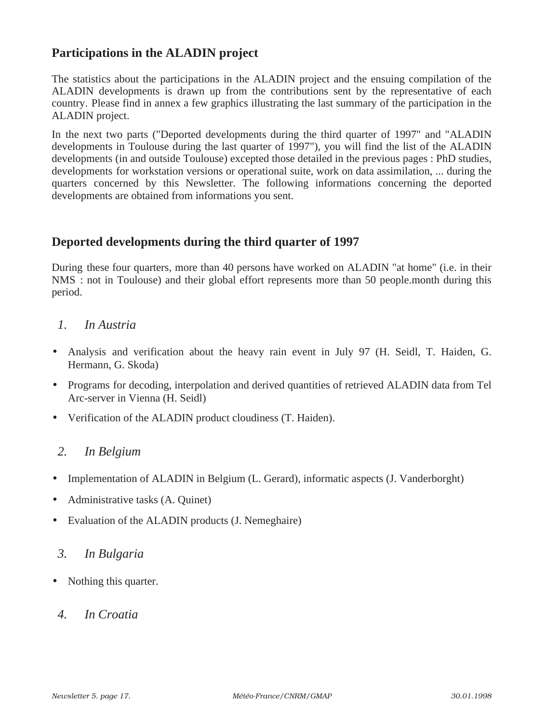### **Participations in the ALADIN project**

The statistics about the participations in the ALADIN project and the ensuing compilation of the ALADIN developments is drawn up from the contributions sent by the representative of each country. Please find in annex a few graphics illustrating the last summary of the participation in the ALADIN project.

In the next two parts ("Deported developments during the third quarter of 1997" and "ALADIN developments in Toulouse during the last quarter of 1997"), you will find the list of the ALADIN developments (in and outside Toulouse) excepted those detailed in the previous pages : PhD studies, developments for workstation versions or operational suite, work on data assimilation, ... during the quarters concerned by this Newsletter. The following informations concerning the deported developments are obtained from informations you sent.

### **Deported developments during the third quarter of 1997**

During these four quarters, more than 40 persons have worked on ALADIN "at home" (i.e. in their NMS : not in Toulouse) and their global effort represents more than 50 people.month during this period.

### *1. In Austria*

- Analysis and verification about the heavy rain event in July 97 (H. Seidl, T. Haiden, G. Hermann, G. Skoda)
- Programs for decoding, interpolation and derived quantities of retrieved ALADIN data from Tel Arc-server in Vienna (H. Seidl)
- Verification of the ALADIN product cloudiness (T. Haiden).

### *2. In Belgium*

- Implementation of ALADIN in Belgium (L. Gerard), informatic aspects (J. Vanderborght)
- Administrative tasks (A. Quinet)
- Evaluation of the ALADIN products (J. Nemeghaire)

#### *3. In Bulgaria*

- Nothing this quarter.
- *4. In Croatia*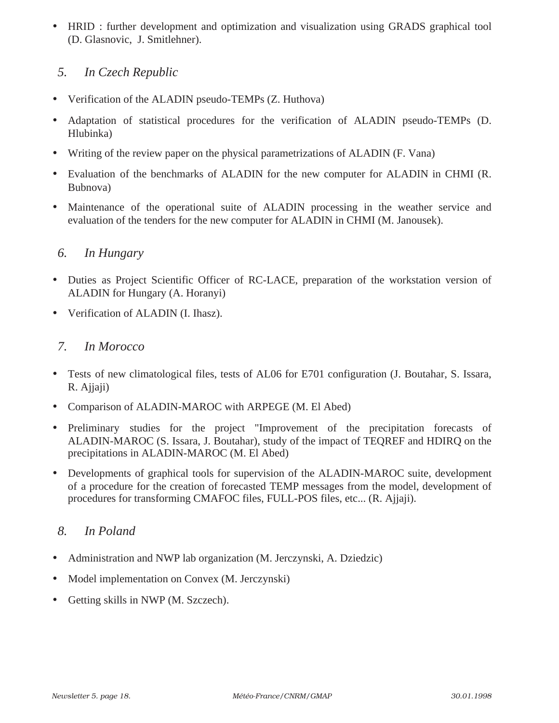• HRID : further development and optimization and visualization using GRADS graphical tool (D. Glasnovic, J. Smitlehner).

### *5. In Czech Republic*

- Verification of the ALADIN pseudo-TEMPs (Z. Huthova)
- Adaptation of statistical procedures for the verification of ALADIN pseudo-TEMPs (D. Hlubinka)
- Writing of the review paper on the physical parametrizations of ALADIN (F. Vana)
- Evaluation of the benchmarks of ALADIN for the new computer for ALADIN in CHMI (R. Bubnova)
- Maintenance of the operational suite of ALADIN processing in the weather service and evaluation of the tenders for the new computer for ALADIN in CHMI (M. Janousek).

### *6. In Hungary*

- Duties as Project Scientific Officer of RC-LACE, preparation of the workstation version of ALADIN for Hungary (A. Horanyi)
- Verification of ALADIN (I. Ihasz).

### *7. In Morocco*

- Tests of new climatological files, tests of AL06 for E701 configuration (J. Boutahar, S. Issara, R. Ajjaji)
- Comparison of ALADIN-MAROC with ARPEGE (M. El Abed)
- Preliminary studies for the project "Improvement of the precipitation forecasts of ALADIN-MAROC (S. Issara, J. Boutahar), study of the impact of TEQREF and HDIRQ on the precipitations in ALADIN-MAROC (M. El Abed)
- Developments of graphical tools for supervision of the ALADIN-MAROC suite, development of a procedure for the creation of forecasted TEMP messages from the model, development of procedures for transforming CMAFOC files, FULL-POS files, etc... (R. Ajjaji).

# *8. In Poland*

- Administration and NWP lab organization (M. Jerczynski, A. Dziedzic)
- Model implementation on Convex (M. Jerczynski)
- Getting skills in NWP (M. Szczech).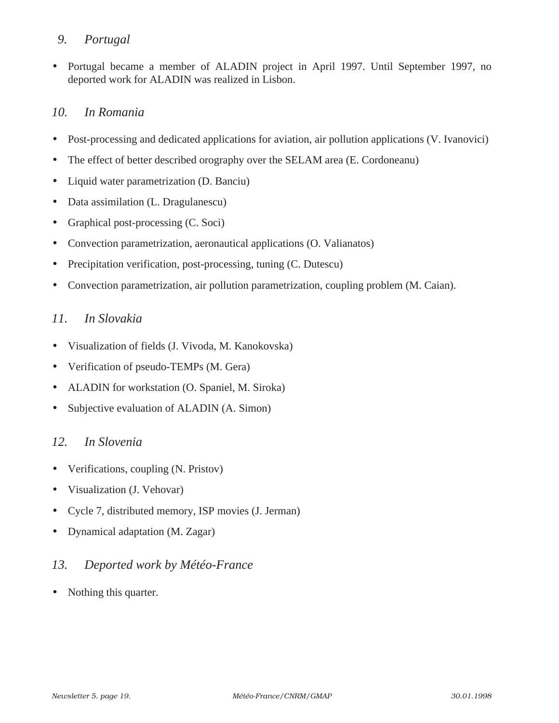### *9. Portugal*

• Portugal became a member of ALADIN project in April 1997. Until September 1997, no deported work for ALADIN was realized in Lisbon.

# *10. In Romania*

- Post-processing and dedicated applications for aviation, air pollution applications (V. Ivanovici)
- The effect of better described orography over the SELAM area (E. Cordoneanu)
- Liquid water parametrization (D. Banciu)
- Data assimilation (L. Dragulanescu)
- Graphical post-processing (C. Soci)
- Convection parametrization, aeronautical applications (O. Valianatos)
- Precipitation verification, post-processing, tuning (C. Dutescu)
- Convection parametrization, air pollution parametrization, coupling problem (M. Caian).

# *11. In Slovakia*

- Visualization of fields (J. Vivoda, M. Kanokovska)
- Verification of pseudo-TEMPs (M. Gera)
- ALADIN for workstation (O. Spaniel, M. Siroka)
- Subjective evaluation of ALADIN (A. Simon)

### *12. In Slovenia*

- Verifications, coupling (N. Pristov)
- Visualization (J. Vehovar)
- Cycle 7, distributed memory, ISP movies (J. Jerman)
- Dynamical adaptation (M. Zagar)

# *13. Deported work by Météo-France*

Nothing this quarter.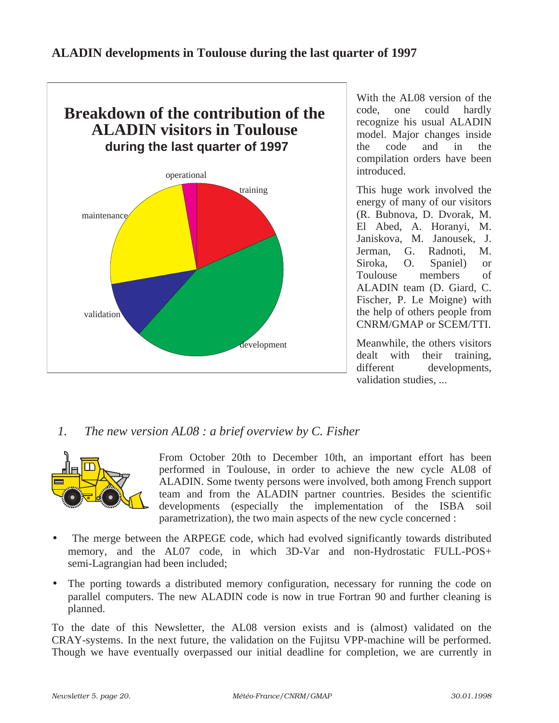

With the AL08 version of the code, one could hardly recognize his usual ALADIN model. Major changes inside the code and in the compilation orders have been introduced.

This huge work involved the energy of many of our visitors (R. Bubnova, D. Dvorak, M. El Abed, A. Horanyi, M. Janiskova, M. Janousek, J. Jerman, G. Radnoti, M. Siroka, O. Spaniel) or Toulouse members of ALADIN team (D. Giard, C. Fischer, P. Le Moigne) with the help of others people from CNRM/GMAP or SCEM/TTI.

Meanwhile, the others visitors dealt with their training, different developments, validation studies, ...

# *1. The new version AL08 : a brief overview by C. Fisher*



From October 20th to December 10th, an important effort has been performed in Toulouse, in order to achieve the new cycle AL08 of ALADIN. Some twenty persons were involved, both among French support team and from the ALADIN partner countries. Besides the scientific developments (especially the implementation of the ISBA soil parametrization), the two main aspects of the new cycle concerned :

- The merge between the ARPEGE code, which had evolved significantly towards distributed memory, and the AL07 code, in which 3D-Var and non-Hydrostatic FULL-POS+ semi-Lagrangian had been included;
- The porting towards a distributed memory configuration, necessary for running the code on parallel computers. The new ALADIN code is now in true Fortran 90 and further cleaning is planned.

To the date of this Newsletter, the AL08 version exists and is (almost) validated on the CRAY-systems. In the next future, the validation on the Fujitsu VPP-machine will be performed. Though we have eventually overpassed our initial deadline for completion, we are currently in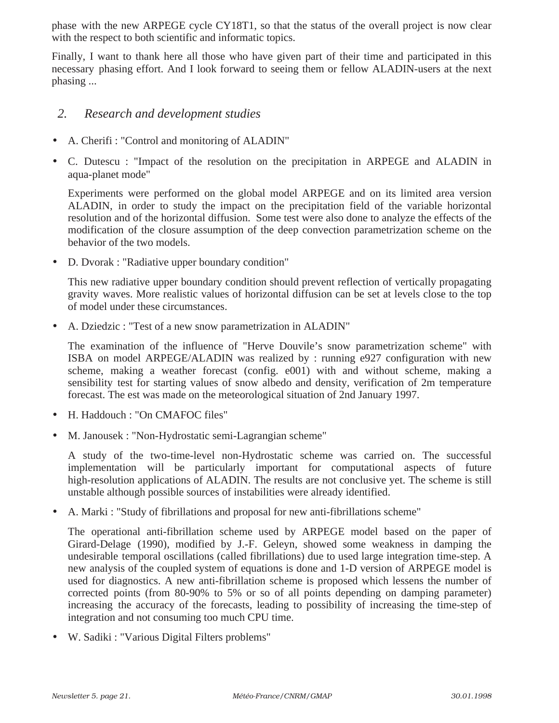phase with the new ARPEGE cycle CY18T1, so that the status of the overall project is now clear with the respect to both scientific and informatic topics.

Finally, I want to thank here all those who have given part of their time and participated in this necessary phasing effort. And I look forward to seeing them or fellow ALADIN-users at the next phasing ...

#### *2. Research and development studies*

- A. Cherifi : "Control and monitoring of ALADIN"
- C. Dutescu : "Impact of the resolution on the precipitation in ARPEGE and ALADIN in aqua-planet mode"

Experiments were performed on the global model ARPEGE and on its limited area version ALADIN, in order to study the impact on the precipitation field of the variable horizontal resolution and of the horizontal diffusion. Some test were also done to analyze the effects of the modification of the closure assumption of the deep convection parametrization scheme on the behavior of the two models.

• D. Dvorak : "Radiative upper boundary condition"

This new radiative upper boundary condition should prevent reflection of vertically propagating gravity waves. More realistic values of horizontal diffusion can be set at levels close to the top of model under these circumstances.

• A. Dziedzic : "Test of a new snow parametrization in ALADIN"

The examination of the influence of "Herve Douvile's snow parametrization scheme" with ISBA on model ARPEGE/ALADIN was realized by : running e927 configuration with new scheme, making a weather forecast (config. e001) with and without scheme, making a sensibility test for starting values of snow albedo and density, verification of 2m temperature forecast. The est was made on the meteorological situation of 2nd January 1997.

- H. Haddouch : "On CMAFOC files"
- M. Janousek : "Non-Hydrostatic semi-Lagrangian scheme"

A study of the two-time-level non-Hydrostatic scheme was carried on. The successful implementation will be particularly important for computational aspects of future high-resolution applications of ALADIN. The results are not conclusive yet. The scheme is still unstable although possible sources of instabilities were already identified.

• A. Marki : "Study of fibrillations and proposal for new anti-fibrillations scheme"

The operational anti-fibrillation scheme used by ARPEGE model based on the paper of Girard-Delage (1990), modified by J.-F. Geleyn, showed some weakness in damping the undesirable temporal oscillations (called fibrillations) due to used large integration time-step. A new analysis of the coupled system of equations is done and 1-D version of ARPEGE model is used for diagnostics. A new anti-fibrillation scheme is proposed which lessens the number of corrected points (from 80-90% to 5% or so of all points depending on damping parameter) increasing the accuracy of the forecasts, leading to possibility of increasing the time-step of integration and not consuming too much CPU time.

• W. Sadiki : "Various Digital Filters problems"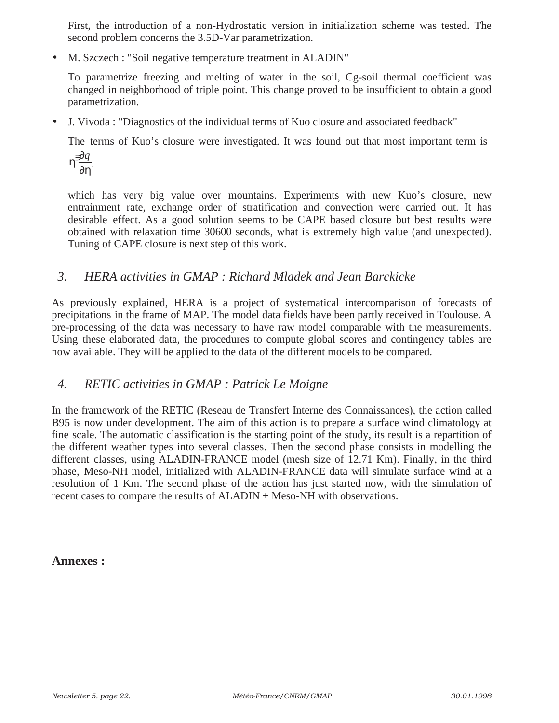First, the introduction of a non-Hydrostatic version in initialization scheme was tested. The second problem concerns the 3.5D-Var parametrization.

• M. Szczech : "Soil negative temperature treatment in ALADIN"

To parametrize freezing and melting of water in the soil, Cg-soil thermal coefficient was changed in neighborhood of triple point. This change proved to be insufficient to obtain a good parametrization.

• J. Vivoda : "Diagnostics of the individual terms of Kuo closure and associated feedback"

The terms of Kuo's closure were investigated. It was found out that most important term is

$$
\eta^{\mathfrak{d}} \frac{\partial q}{\partial \eta},
$$

which has very big value over mountains. Experiments with new Kuo's closure, new entrainment rate, exchange order of stratification and convection were carried out. It has desirable effect. As a good solution seems to be CAPE based closure but best results were obtained with relaxation time 30600 seconds, what is extremely high value (and unexpected). Tuning of CAPE closure is next step of this work.

# *3. HERA activities in GMAP : Richard Mladek and Jean Barckicke*

As previously explained, HERA is a project of systematical intercomparison of forecasts of precipitations in the frame of MAP. The model data fields have been partly received in Toulouse. A pre-processing of the data was necessary to have raw model comparable with the measurements. Using these elaborated data, the procedures to compute global scores and contingency tables are now available. They will be applied to the data of the different models to be compared.

### *4. RETIC activities in GMAP : Patrick Le Moigne*

In the framework of the RETIC (Reseau de Transfert Interne des Connaissances), the action called B95 is now under development. The aim of this action is to prepare a surface wind climatology at fine scale. The automatic classification is the starting point of the study, its result is a repartition of the different weather types into several classes. Then the second phase consists in modelling the different classes, using ALADIN-FRANCE model (mesh size of 12.71 Km). Finally, in the third phase, Meso-NH model, initialized with ALADIN-FRANCE data will simulate surface wind at a resolution of 1 Km. The second phase of the action has just started now, with the simulation of recent cases to compare the results of ALADIN + Meso-NH with observations.

**Annexes :**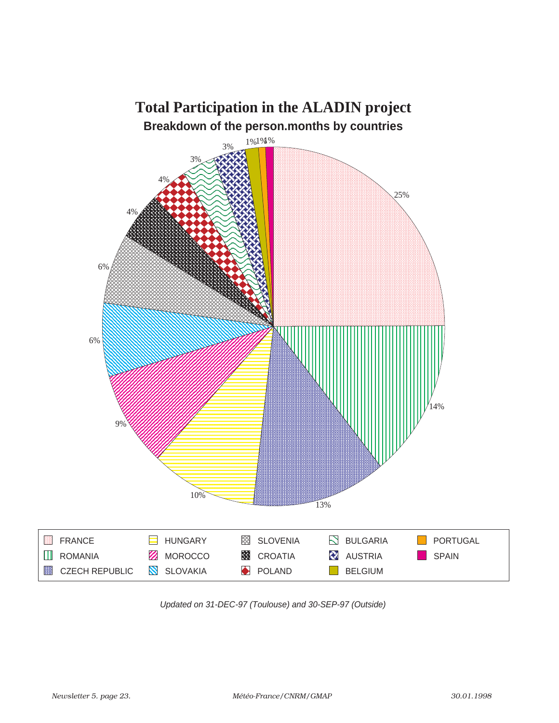

Updated on 31-DEC-97 (Toulouse) and 30-SEP-97 (Outside)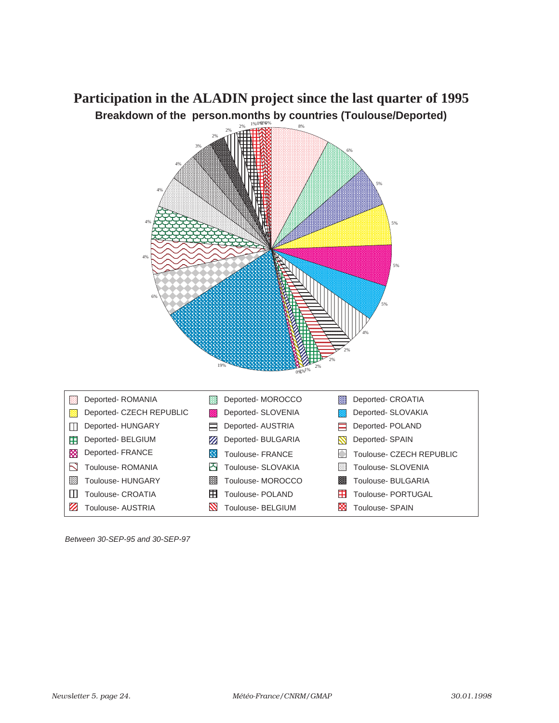# **Breakdown of the person.months by countries (Toulouse/Deported) Participation in the ALADIN project since the last quarter of 1995**



Between 30-SEP-95 and 30-SEP-97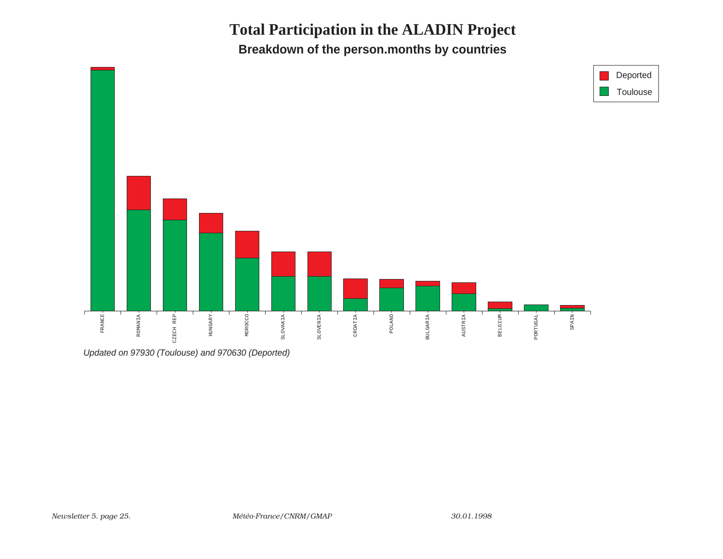**Total Participation in the ALADIN ProjectBreakdown of the person.months by countries**



Updated on 97930 (Toulouse) and 970630 (Deported)